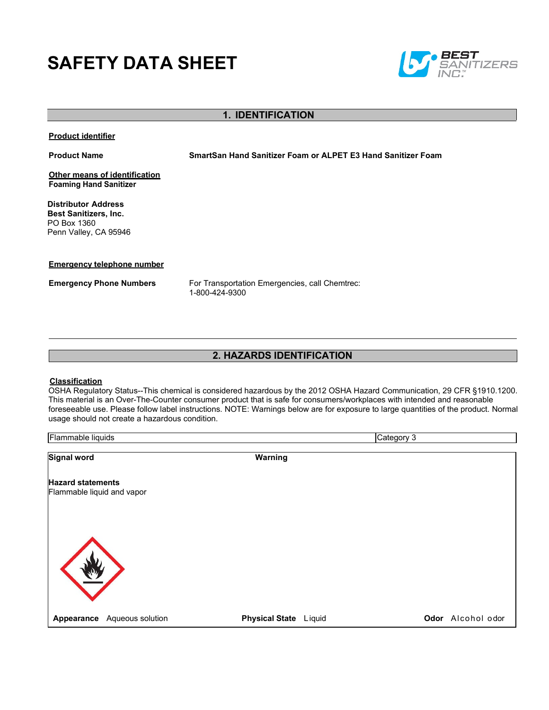# **SAFETY DATA SHEET**



### **1. IDENTIFICATION**

**Product identifier**

**Product Name SmartSan Hand Sanitizer Foam or ALPET E3 Hand Sanitizer Foam**

**Other means of identification Foaming Hand Sanitizer** 

**Distributor Address Best Sanitizers, Inc.**  PO Box 1360 Penn Valley, CA 95946

### **Emergency telephone number**

**Emergency Phone Numbers** For Transportation Emergencies, call Chemtrec: 1-800-424-9300

### **2. HAZARDS IDENTIFICATION**

### **Classification**

OSHA Regulatory Status--This chemical is considered hazardous by the 2012 OSHA Hazard Communication, 29 CFR §1910.1200. This material is an Over-The-Counter consumer product that is safe for consumers/workplaces with intended and reasonable foreseeable use. Please follow label instructions. NOTE: Warnings below are for exposure to large quantities of the product. Normal usage should not create a hazardous condition.

| Flammable liquids                                      |                  |                       | Category 3 |                   |
|--------------------------------------------------------|------------------|-----------------------|------------|-------------------|
| Signal word                                            |                  | Warning               |            |                   |
| <b>Hazard statements</b><br>Flammable liquid and vapor |                  |                       |            |                   |
|                                                        |                  |                       |            |                   |
| Appearance                                             | Aqueous solution | Physical State Liquid |            | Odor Alcohol odor |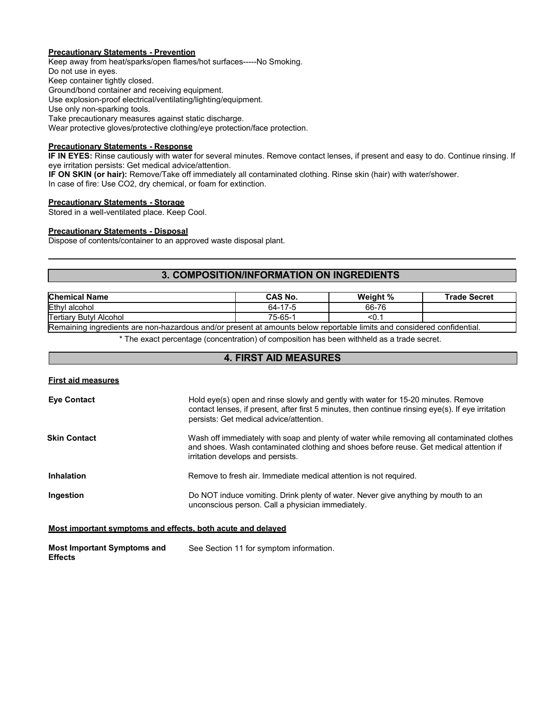### **Precautionary Statements - Prevention**

Keep away from heat/sparks/open flames/hot surfaces-----No Smoking. Do not use in eyes. Keep container tightly closed. Ground/bond container and receiving equipment. Use explosion-proof electrical/ventilating/lighting/equipment. Use only non-sparking tools. Take precautionary measures against static discharge. Wear protective gloves/protective clothing/eye protection/face protection.

### **Precautionary Statements - Response**

**IF IN EYES:** Rinse cautiously with water for several minutes. Remove contact lenses, if present and easy to do. Continue rinsing. If eye irritation persists: Get medical advice/attention.

**IF ON SKIN (or hair):** Remove/Take off immediately all contaminated clothing. Rinse skin (hair) with water/shower. In case of fire: Use CO2, dry chemical, or foam for extinction.

### **Precautionary Statements - Storage**

Stored in a well-ventilated place. Keep Cool.

#### **Precautionary Statements - Disposal**

Dispose of contents/container to an approved waste disposal plant.

### **3. COMPOSITION/INFORMATION ON INGREDIENTS**

| <b>CAS No.</b>                                  | Weight % | Trade Secret |
|-------------------------------------------------|----------|--------------|
| $\overline{\phantom{a}}$<br>64-<br>$\mathbf{I}$ | 66-76    |              |
| $75 - 65 -$                                     | SU.      |              |
|                                                 |          |              |

Remaining ingredients are non-hazardous and/or present at amounts below reportable limits and considered confidential.

\* The exact percentage (concentration) of composition has been withheld as a trade secret.

### **4. FIRST AID MEASURES**

| <b>Eye Contact</b> | Hold eye(s) open and rinse slowly and gently with water for 15-20 minutes. Remove<br>contact lenses, if present, after first 5 minutes, then continue rinsing eye(s). If eye irritation<br>persists: Get medical advice/attention. |
|--------------------|------------------------------------------------------------------------------------------------------------------------------------------------------------------------------------------------------------------------------------|
| Skin Contact       | Wash off immediately with soap and plenty of water while removing all contaminated clothes<br>and shoes. Wash contaminated clothing and shoes before reuse. Get medical attention if<br>irritation develops and persists.          |
| <b>Inhalation</b>  | Remove to fresh air. Immediate medical attention is not required.                                                                                                                                                                  |
| Ingestion          | Do NOT induce vomiting. Drink plenty of water. Never give anything by mouth to an<br>unconscious person. Call a physician immediately.                                                                                             |

### **Most important symptoms and effects, both acute and delayed**

**Most Important Symptoms and Effects** See Section 11 for symptom information.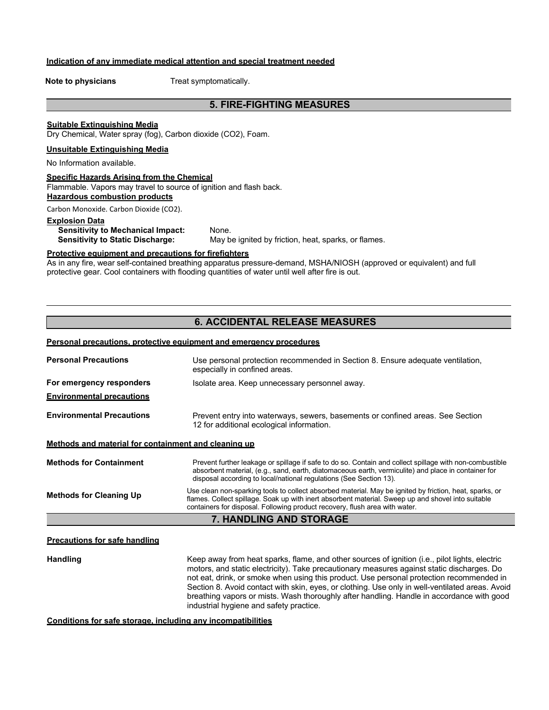### **Indication of any immediate medical attention and special treatment needed**

**Note to physicians** Treat symptomatically.

### **5. FIRE-FIGHTING MEASURES**

#### **Suitable Extinguishing Media**

Dry Chemical, Water spray (fog), Carbon dioxide (CO2), Foam.

### **Unsuitable Extinguishing Media**

No Information available.

### **Specific Hazards Arising from the Chemical**

Flammable. Vapors may travel to source of ignition and flash back. **Hazardous combustion products**

Carbon Monoxide. Carbon Dioxide (CO2).

## **Explosion Data Sensitivity to Mechanical Impact:** None.<br>**Sensitivity to Static Discharge:** May b

May be ignited by friction, heat, sparks, or flames.

#### **Protective equipment and precautions for firefighters**

As in any fire, wear self-contained breathing apparatus pressure-demand, MSHA/NIOSH (approved or equivalent) and full protective gear. Cool containers with flooding quantities of water until well after fire is out.

### **6. ACCIDENTAL RELEASE MEASURES**

#### **Personal precautions, protective equipment and emergency procedures**

| <b>Personal Precautions</b>                          | Use personal protection recommended in Section 8. Ensure adequate ventilation,<br>especially in confined areas.                                                                                                                                                                              |
|------------------------------------------------------|----------------------------------------------------------------------------------------------------------------------------------------------------------------------------------------------------------------------------------------------------------------------------------------------|
| For emergency responders                             | Isolate area. Keep unnecessary personnel away.                                                                                                                                                                                                                                               |
| <b>Environmental precautions</b>                     |                                                                                                                                                                                                                                                                                              |
| <b>Environmental Precautions</b>                     | Prevent entry into waterways, sewers, basements or confined areas. See Section<br>12 for additional ecological information.                                                                                                                                                                  |
| Methods and material for containment and cleaning up |                                                                                                                                                                                                                                                                                              |
| <b>Methods for Containment</b>                       | Prevent further leakage or spillage if safe to do so. Contain and collect spillage with non-combustible<br>absorbent material, (e.g., sand, earth, diatomaceous earth, vermiculite) and place in container for<br>disposal according to local/national regulations (See Section 13).         |
| <b>Methods for Cleaning Up</b>                       | Use clean non-sparking tools to collect absorbed material. May be ignited by friction, heat, sparks, or<br>flames. Collect spillage. Soak up with inert absorbent material. Sweep up and shovel into suitable<br>containers for disposal. Following product recovery, flush area with water. |
|                                                      | 7. HANDLING AND STORAGE                                                                                                                                                                                                                                                                      |

#### **Precautions for safe handling**

Handling **Handling** Keep away from heat sparks, flame, and other sources of ignition (i.e., pilot lights, electric motors, and static electricity). Take precautionary measures against static discharges. Do not eat, drink, or smoke when using this product. Use personal protection recommended in Section 8. Avoid contact with skin, eyes, or clothing. Use only in well-ventilated areas. Avoid breathing vapors or mists. Wash thoroughly after handling. Handle in accordance with good industrial hygiene and safety practice.

**Conditions for safe storage, including any incompatibilities**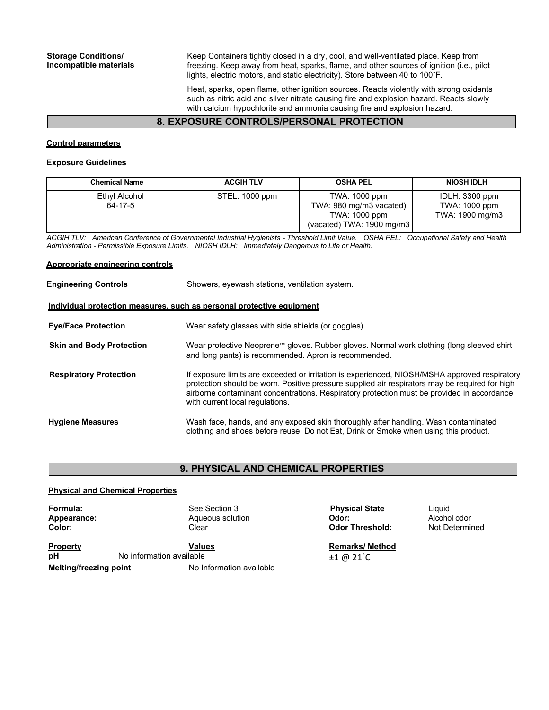Keep Containers tightly closed in a dry, cool, and well-ventilated place. Keep from freezing. Keep away from heat, sparks, flame, and other sources of ignition (i.e., pilot lights, electric motors, and static electricity). Store between 40 to 100˚F.

Heat, sparks, open flame, other ignition sources. Reacts violently with strong oxidants such as nitric acid and silver nitrate causing fire and explosion hazard. Reacts slowly with calcium hypochlorite and ammonia causing fire and explosion hazard.

### **8. EXPOSURE CONTROLS/PERSONAL PROTECTION**

### **Control parameters**

### **Exposure Guidelines**

| <b>Chemical Name</b>     | <b>ACGIH TLV</b> | <b>OSHA PEL</b>                                                                                 | <b>NIOSH IDLH</b>                                  |
|--------------------------|------------------|-------------------------------------------------------------------------------------------------|----------------------------------------------------|
| Ethyl Alcohol<br>64-17-5 | STEL: 1000 ppm   | TWA: 1000 ppm<br>TWA: 980 mg/m3 vacated)<br>TWA: 1000 ppm<br>(vacated) TWA: $1900 \text{ mg/m}$ | IDLH: 3300 ppm<br>TWA: 1000 ppm<br>TWA: 1900 mg/m3 |

*ACGIH TLV: American Conference of Governmental Industrial Hygienists - Threshold Limit Value. OSHA PEL: Occupational Safety and Health Administration - Permissible Exposure Limits. NIOSH IDLH: Immediately Dangerous to Life or Health.*

#### **Appropriate engineering controls**

| <b>Engineering Controls</b>                                           | Showers, eyewash stations, ventilation system.                                                                                                                                                                                                                                                                                   |  |  |  |
|-----------------------------------------------------------------------|----------------------------------------------------------------------------------------------------------------------------------------------------------------------------------------------------------------------------------------------------------------------------------------------------------------------------------|--|--|--|
| Individual protection measures, such as personal protective equipment |                                                                                                                                                                                                                                                                                                                                  |  |  |  |
| <b>Eye/Face Protection</b>                                            | Wear safety glasses with side shields (or goggles).                                                                                                                                                                                                                                                                              |  |  |  |
| <b>Skin and Body Protection</b>                                       | Wear protective Neoprene™ gloves. Rubber gloves. Normal work clothing (long sleeved shirt<br>and long pants) is recommended. Apron is recommended.                                                                                                                                                                               |  |  |  |
| <b>Respiratory Protection</b>                                         | If exposure limits are exceeded or irritation is experienced, NIOSH/MSHA approved respiratory<br>protection should be worn. Positive pressure supplied air respirators may be required for high<br>airborne contaminant concentrations. Respiratory protection must be provided in accordance<br>with current local regulations. |  |  |  |
| <b>Hygiene Measures</b>                                               | Wash face, hands, and any exposed skin thoroughly after handling. Wash contaminated<br>clothing and shoes before reuse. Do not Eat, Drink or Smoke when using this product.                                                                                                                                                      |  |  |  |

### **9. PHYSICAL AND CHEMICAL PROPERTIES**

### **Physical and Chemical Properties**

| Formula:<br>Appearance:<br>Color: |                          | See Section 3<br>Aqueous solution<br>Clear | <b>Physical State</b><br>Odor:<br><b>Odor Threshold:</b> | Liquid<br>Alcohol odor<br>Not Determined |
|-----------------------------------|--------------------------|--------------------------------------------|----------------------------------------------------------|------------------------------------------|
| <b>Property</b>                   |                          | <b>Values</b>                              | <b>Remarks/Method</b>                                    |                                          |
| рH                                | No information available |                                            | $±1$ @ 21 $°C$                                           |                                          |
| <b>Melting/freezing point</b>     |                          | No Information available                   |                                                          |                                          |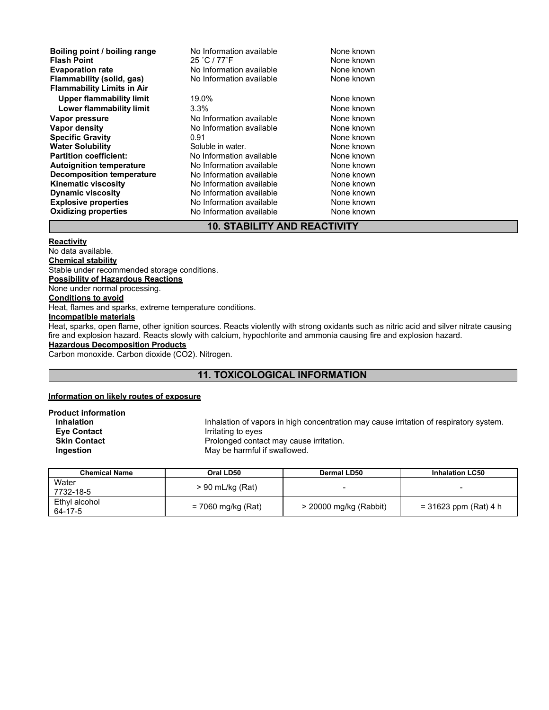| Boiling point / boiling range     | No Information available | None known |
|-----------------------------------|--------------------------|------------|
| <b>Flash Point</b>                | 25 °C / 77°F             | None known |
| <b>Evaporation rate</b>           | No Information available | None known |
| Flammability (solid, gas)         | No Information available | None known |
| <b>Flammability Limits in Air</b> |                          |            |
| <b>Upper flammability limit</b>   | 19.0%                    | None known |
| Lower flammability limit          | $3.3\%$                  | None known |
| Vapor pressure                    | No Information available | None known |
| Vapor density                     | No Information available | None known |
| <b>Specific Gravity</b>           | 0.91                     | None known |
| <b>Water Solubility</b>           | Soluble in water.        | None known |
| <b>Partition coefficient:</b>     | No Information available | None known |
| <b>Autoignition temperature</b>   | No Information available | None known |
| <b>Decomposition temperature</b>  | No Information available | None known |
| <b>Kinematic viscosity</b>        | No Information available | None known |
| <b>Dynamic viscosity</b>          | No Information available | None known |
| <b>Explosive properties</b>       | No Information available | None known |
| <b>Oxidizing properties</b>       | No Information available | None known |

### **10. STABILITY AND REACTIVITY**

### **Reactivity**

No data available. **Chemical stability** Stable under recommended storage conditions. **Possibility of Hazardous Reactions** None under normal processing. **Conditions to avoid** Heat, flames and sparks, extreme temperature conditions. **Incompatible materials**

Heat, sparks, open flame, other ignition sources. Reacts violently with strong oxidants such as nitric acid and silver nitrate causing fire and explosion hazard. Reacts slowly with calcium, hypochlorite and ammonia causing fire and explosion hazard.

### **Hazardous Decomposition Products**

Carbon monoxide. Carbon dioxide (CO2). Nitrogen.

### **11. TOXICOLOGICAL INFORMATION**

#### **Information on likely routes of exposure**

**Product information**

**Inhalation**<br> **Inhalation Computer Contact**<br> **Interprese in the Contact Contact**<br> **Interprese Contact**<br> **Interprese Contact Eye Contact Irritating to eyes**<br> **Skin Contact IRR IRR I**Prolonged conta **Skin Contact** Prolonged contact may cause irritation. **Ingestion** May be harmful if swallowed.

| Chemical Name            | Oral LD50          | <b>Dermal LD50</b>     | <b>Inhalation LC50</b>  |
|--------------------------|--------------------|------------------------|-------------------------|
| Water<br>7732-18-5       | $> 90$ mL/kg (Rat) |                        |                         |
| Ethvl alcohol<br>64-17-5 | = 7060 mg/kg (Rat) | > 20000 mg/kg (Rabbit) | $= 31623$ ppm (Rat) 4 h |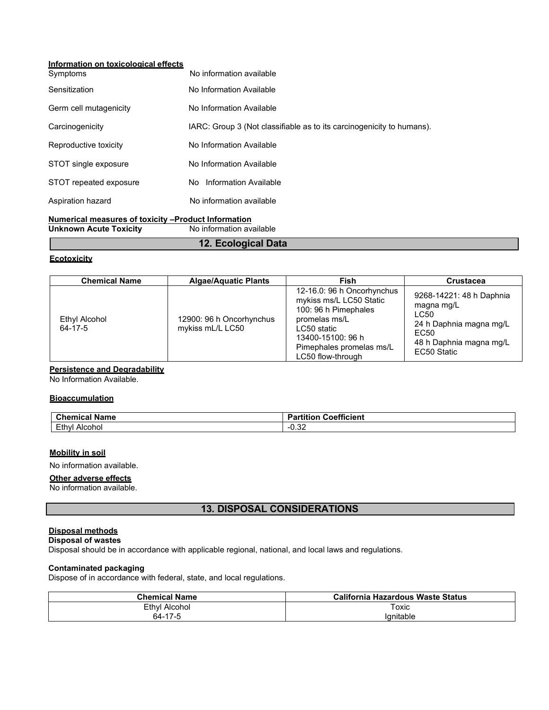### **Information on toxicological effects**

| Symptoms               | No information available                                              |
|------------------------|-----------------------------------------------------------------------|
| Sensitization          | No Information Available                                              |
| Germ cell mutagenicity | No Information Available                                              |
| Carcinogenicity        | IARC: Group 3 (Not classifiable as to its carcinogenicity to humans). |
| Reproductive toxicity  | No Information Available                                              |
| STOT single exposure   | No Information Available                                              |
| STOT repeated exposure | No Information Available                                              |
| Aspiration hazard      | No information available                                              |
|                        |                                                                       |

#### **Numerical measures of toxicity –Product Information Unknown Acute Toxicity**

**12. Ecological Data**

### **Ecotoxicity**

| <b>Chemical Name</b>     | <b>Algae/Aquatic Plants</b>                  | Fish                                                                                                                                                                                | <b>Crustacea</b>                                                                                                            |
|--------------------------|----------------------------------------------|-------------------------------------------------------------------------------------------------------------------------------------------------------------------------------------|-----------------------------------------------------------------------------------------------------------------------------|
| Ethyl Alcohol<br>64-17-5 | 12900: 96 h Oncorhynchus<br>mykiss mL/L LC50 | 12-16.0: 96 h Oncorhynchus<br>mykiss ms/L LC50 Static<br>100: 96 h Pimephales<br>promelas ms/L<br>LC50 static<br>13400-15100: 96 h<br>Pimephales promelas ms/L<br>LC50 flow-through | 9268-14221: 48 h Daphnia<br>magna mg/L<br>LC50<br>24 h Daphnia magna mg/L<br>EC50<br>48 h Daphnia magna mg/L<br>EC50 Static |

### **Persistence and Degradability**

No Information Available.

### **Bioaccumulation**

| $\sim$<br>. .<br><b>Name</b><br>'nemic <i>a</i> ۔<br>-91 | ---<br><br><b>etticien</b><br>.<br>⊶oe⊷<br>andon.<br>aı |
|----------------------------------------------------------|---------------------------------------------------------|
| Ethy<br>. Alcohol                                        | $\sim$<br>- -<br>∠ט.ט                                   |

### **Mobility in soil**

No information available.

### **Other adverse effects**

No information available.

### **13. DISPOSAL CONSIDERATIONS**

### **Disposal methods**

#### **Disposal of wastes**

Disposal should be in accordance with applicable regional, national, and local laws and regulations.

### **Contaminated packaging**

Dispose of in accordance with federal, state, and local regulations.

| <b>Chemical Name</b> | California Hazardous Waste Status |
|----------------------|-----------------------------------|
| Ethyl Alcohol        | Toxic                             |
| 64-17-5              | Ianitable                         |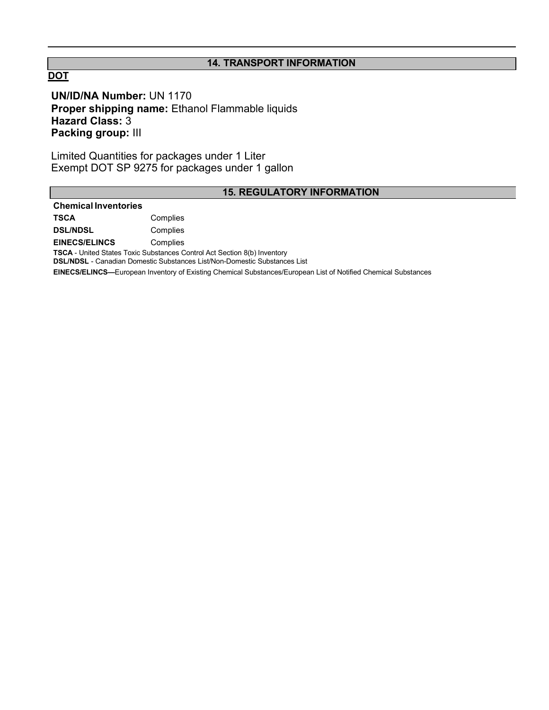### **14. TRANSPORT INFORMATION**

### **DOT**

**UN/ID/NA Number:** UN 1170 **Proper shipping name:** Ethanol Flammable liquids **Hazard Class:** 3 **Packing group:** III

Limited Quantities for packages under 1 Liter Exempt DOT SP 9275 for packages under 1 gallon

### **15. REGULATORY INFORMATION**

### **Chemical Inventories**

**TSCA** Complies **DSL/NDSL** Complies

**EINECS/ELINCS** Complies

**TSCA** - United States Toxic Substances Control Act Section 8(b) Inventory

**DSL/NDSL** - Canadian Domestic Substances List/Non-Domestic Substances List

**EINECS/ELINCS—**European Inventory of Existing Chemical Substances/European List of Notified Chemical Substances